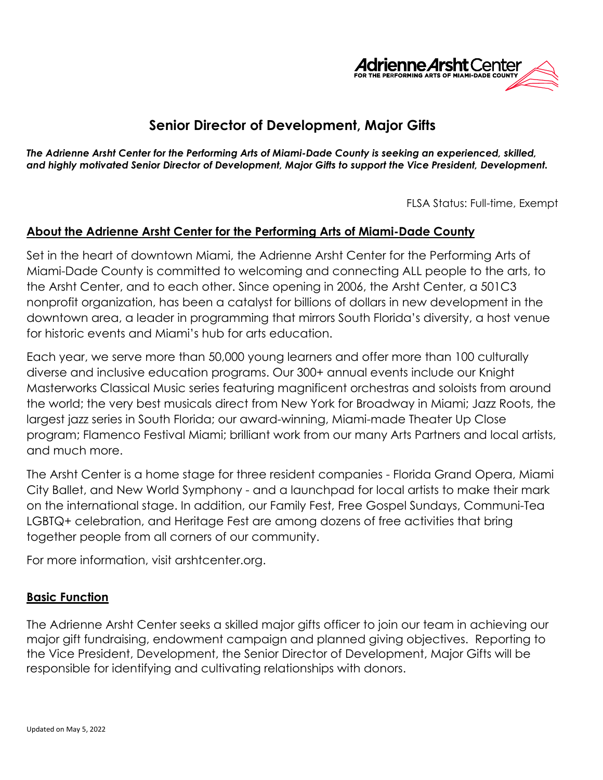

# **Senior Director of Development, Major Gifts**

*The Adrienne Arsht Center for the Performing Arts of Miami-Dade County is seeking an experienced, skilled, and highly motivated Senior Director of Development, Major Gifts to support the Vice President, Development.* 

FLSA Status: Full-time, Exempt

### **About the Adrienne Arsht Center for the Performing Arts of Miami-Dade County**

Set in the heart of downtown Miami, the Adrienne Arsht Center for the Performing Arts of Miami-Dade County is committed to welcoming and connecting ALL people to the arts, to the Arsht Center, and to each other. Since opening in 2006, the Arsht Center, a 501C3 nonprofit organization, has been a catalyst for billions of dollars in new development in the downtown area, a leader in programming that mirrors South Florida's diversity, a host venue for historic events and Miami's hub for arts education.

Each year, we serve more than 50,000 young learners and offer more than 100 culturally diverse and inclusive education programs. Our 300+ annual events include our Knight Masterworks Classical Music series featuring magnificent orchestras and soloists from around the world; the very best musicals direct from New York for Broadway in Miami; Jazz Roots, the largest jazz series in South Florida; our award-winning, Miami-made Theater Up Close program; Flamenco Festival Miami; brilliant work from our many Arts Partners and local artists, and much more.

The Arsht Center is a home stage for three resident companies - Florida Grand Opera, Miami City Ballet, and New World Symphony - and a launchpad for local artists to make their mark on the international stage. In addition, our Family Fest, Free Gospel Sundays, Communi-Tea LGBTQ+ celebration, and Heritage Fest are among dozens of free activities that bring together people from all corners of our community.

For more information, visit arshtcenter.org.

#### **Basic Function**

The Adrienne Arsht Center seeks a skilled major gifts officer to join our team in achieving our major gift fundraising, endowment campaign and planned giving objectives. Reporting to the Vice President, Development, the Senior Director of Development, Major Gifts will be responsible for identifying and cultivating relationships with donors.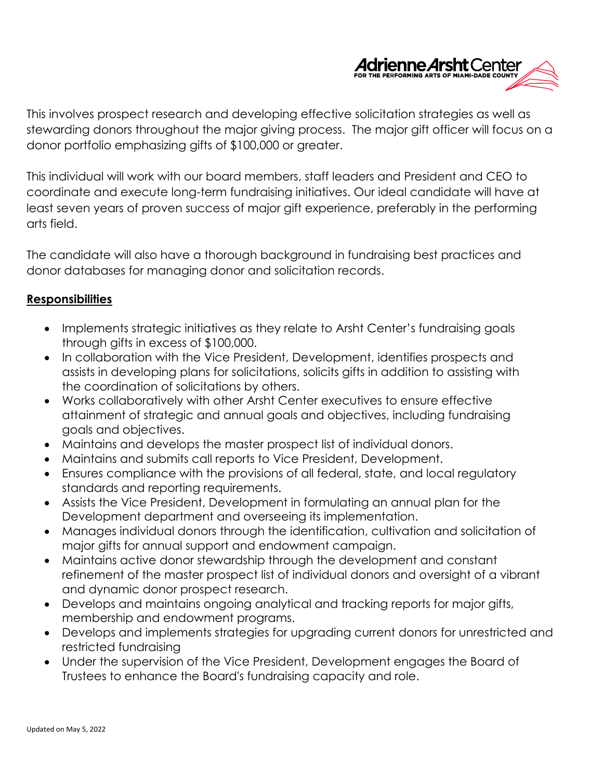

This involves prospect research and developing effective solicitation strategies as well as stewarding donors throughout the major giving process. The major gift officer will focus on a donor portfolio emphasizing gifts of \$100,000 or greater.

This individual will work with our board members, staff leaders and President and CEO to coordinate and execute long-term fundraising initiatives. Our ideal candidate will have at least seven years of proven success of major gift experience, preferably in the performing arts field.

The candidate will also have a thorough background in fundraising best practices and donor databases for managing donor and solicitation records.

### **Responsibilities**

- Implements strategic initiatives as they relate to Arsht Center's fundraising goals through gifts in excess of \$100,000.
- In collaboration with the Vice President, Development, identifies prospects and assists in developing plans for solicitations, solicits gifts in addition to assisting with the coordination of solicitations by others.
- Works collaboratively with other Arsht Center executives to ensure effective attainment of strategic and annual goals and objectives, including fundraising goals and objectives.
- Maintains and develops the master prospect list of individual donors.
- Maintains and submits call reports to Vice President, Development.
- Ensures compliance with the provisions of all federal, state, and local regulatory standards and reporting requirements.
- Assists the Vice President, Development in formulating an annual plan for the Development department and overseeing its implementation.
- Manages individual donors through the identification, cultivation and solicitation of major gifts for annual support and endowment campaign.
- Maintains active donor stewardship through the development and constant refinement of the master prospect list of individual donors and oversight of a vibrant and dynamic donor prospect research.
- Develops and maintains ongoing analytical and tracking reports for major gifts, membership and endowment programs.
- Develops and implements strategies for upgrading current donors for unrestricted and restricted fundraising
- Under the supervision of the Vice President, Development engages the Board of Trustees to enhance the Board's fundraising capacity and role.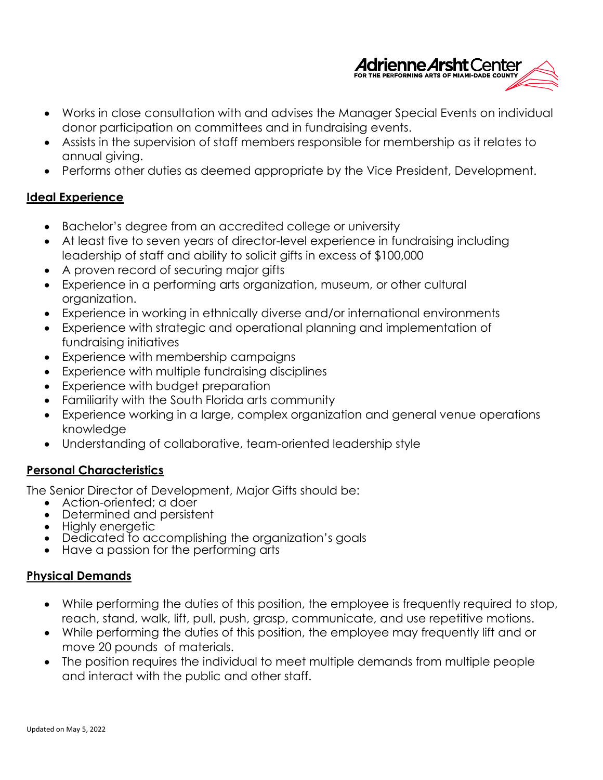

- Works in close consultation with and advises the Manager Special Events on individual donor participation on committees and in fundraising events.
- Assists in the supervision of staff members responsible for membership as it relates to annual giving.
- Performs other duties as deemed appropriate by the Vice President, Development.

#### **Ideal Experience**

- Bachelor's degree from an accredited college or university
- At least five to seven years of director-level experience in fundraising including leadership of staff and ability to solicit gifts in excess of \$100,000
- A proven record of securing major gifts
- Experience in a performing arts organization, museum, or other cultural organization.
- Experience in working in ethnically diverse and/or international environments
- Experience with strategic and operational planning and implementation of fundraising initiatives
- Experience with membership campaigns
- Experience with multiple fundraising disciplines
- Experience with budget preparation
- Familiarity with the South Florida arts community
- Experience working in a large, complex organization and general venue operations knowledge
- Understanding of collaborative, team-oriented leadership style

## **Personal Characteristics**

The Senior Director of Development, Major Gifts should be:

- Action-oriented; a doer
- Determined and persistent
- Highly energetic
- Dedicated to accomplishing the organization's goals
- Have a passion for the performing arts

#### **Physical Demands**

- While performing the duties of this position, the employee is frequently required to stop, reach, stand, walk, lift, pull, push, grasp, communicate, and use repetitive motions.
- While performing the duties of this position, the employee may frequently lift and or move 20 pounds of materials.
- The position requires the individual to meet multiple demands from multiple people and interact with the public and other staff.